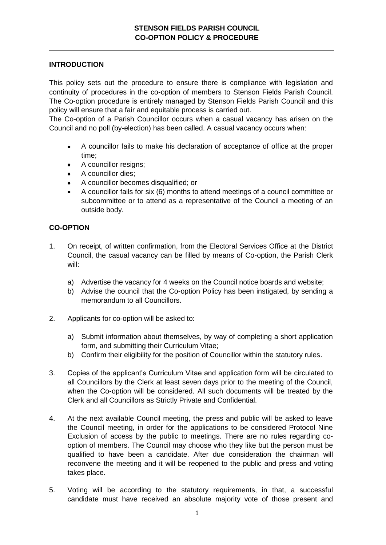## **INTRODUCTION**

This policy sets out the procedure to ensure there is compliance with legislation and continuity of procedures in the co-option of members to Stenson Fields Parish Council. The Co-option procedure is entirely managed by Stenson Fields Parish Council and this policy will ensure that a fair and equitable process is carried out.

The Co-option of a Parish Councillor occurs when a casual vacancy has arisen on the Council and no poll (by-election) has been called. A casual vacancy occurs when:

- A councillor fails to make his declaration of acceptance of office at the proper  $\bullet$ time;
- A councillor resigns;
- A councillor dies;
- A councillor becomes disqualified; or
- A councillor fails for six (6) months to attend meetings of a council committee or  $\bullet$ subcommittee or to attend as a representative of the Council a meeting of an outside body.

## **CO-OPTION**

- 1. On receipt, of written confirmation, from the Electoral Services Office at the District Council, the casual vacancy can be filled by means of Co-option, the Parish Clerk will:
	- a) Advertise the vacancy for 4 weeks on the Council notice boards and website;
	- b) Advise the council that the Co-option Policy has been instigated, by sending a memorandum to all Councillors.
- 2. Applicants for co-option will be asked to:
	- a) Submit information about themselves, by way of completing a short application form, and submitting their Curriculum Vitae;
	- b) Confirm their eligibility for the position of Councillor within the statutory rules.
- 3. Copies of the applicant's Curriculum Vitae and application form will be circulated to all Councillors by the Clerk at least seven days prior to the meeting of the Council, when the Co-option will be considered. All such documents will be treated by the Clerk and all Councillors as Strictly Private and Confidential.
- 4. At the next available Council meeting, the press and public will be asked to leave the Council meeting, in order for the applications to be considered Protocol Nine Exclusion of access by the public to meetings. There are no rules regarding cooption of members. The Council may choose who they like but the person must be qualified to have been a candidate. After due consideration the chairman will reconvene the meeting and it will be reopened to the public and press and voting takes place.
- 5. Voting will be according to the statutory requirements, in that, a successful candidate must have received an absolute majority vote of those present and